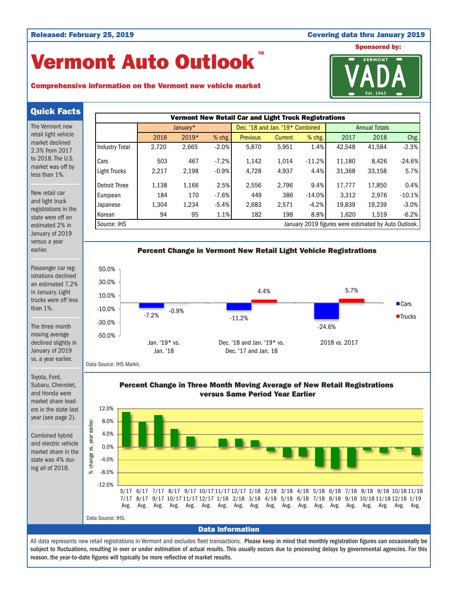#### Released: February 25, 2019 **Covering data thru January 2019** Covering data thru January 2019

## Vermont Auto Outlook TM

# Sponsored by: **VERMONT**

#### Comprehensive information on the Vermont new vehicle market

### Quick Facts

The Vermont new retail light vehicle market declined 2.3% from 2017 to 2018. The U.S. market was off by less than 1%.

New retail car and light truck registrations in the state were off an estimated 2% in January of 2019 versus a year earlier.

Passenger car registrations declined an estimated 7.2% in January. Light trucks were off less than 1%.

The three month moving average declined slightly in January of 2019 vs. a year earlier.

Toyota, Ford, Subaru, Chevrolet, and Honda were market share leaders in the state last year (see page 2).

Combined hybrid and electric vehicle market share in the state was 4% during all of 2018.





Data Source: IHS Markit.

Percent Change in Three Month Moving Average of New Retail Registrations versus Same Period Year Earlier



#### Data Information

All data represents new retail registrations in Vermont and excludes fleet transactions. Please keep in mind that monthly registration figures can occasionally be subject to fluctuations, resulting in over or under estimation of actual results. This usually occurs due to processing delays by governmental agencies. For this reason, the year-to-date figures will typically be more reflective of market results.